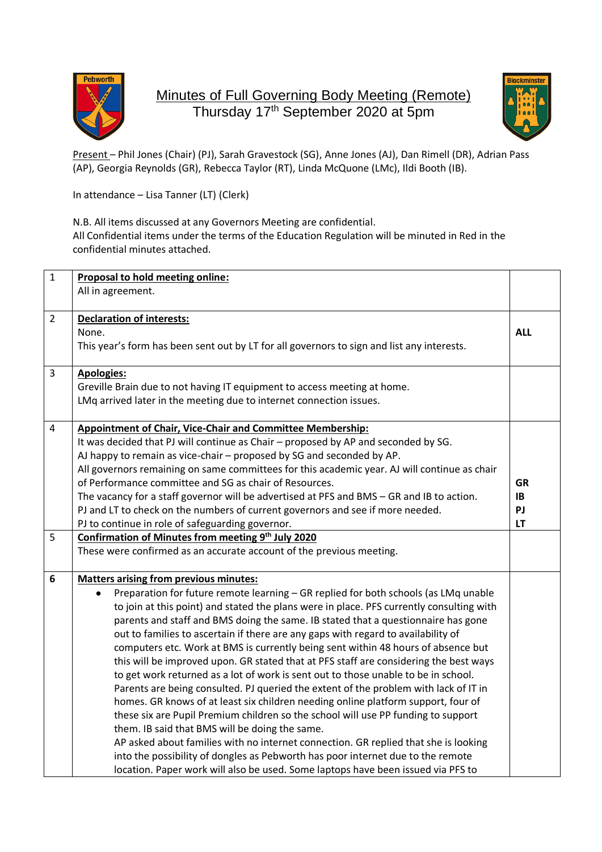

## Minutes of Full Governing Body Meeting (Remote) Thursday 17<sup>th</sup> September 2020 at 5pm



Present – Phil Jones (Chair) (PJ), Sarah Gravestock (SG), Anne Jones (AJ), Dan Rimell (DR), Adrian Pass (AP), Georgia Reynolds (GR), Rebecca Taylor (RT), Linda McQuone (LMc), Ildi Booth (IB).

In attendance – Lisa Tanner (LT) (Clerk)

N.B. All items discussed at any Governors Meeting are confidential. All Confidential items under the terms of the Education Regulation will be minuted in Red in the confidential minutes attached.

| $\mathbf{1}$   | Proposal to hold meeting online:                                                                                                                                                                                                                                                                                                                                             |            |
|----------------|------------------------------------------------------------------------------------------------------------------------------------------------------------------------------------------------------------------------------------------------------------------------------------------------------------------------------------------------------------------------------|------------|
|                | All in agreement.                                                                                                                                                                                                                                                                                                                                                            |            |
|                |                                                                                                                                                                                                                                                                                                                                                                              |            |
| $\overline{2}$ | <b>Declaration of interests:</b>                                                                                                                                                                                                                                                                                                                                             |            |
|                | None.                                                                                                                                                                                                                                                                                                                                                                        | <b>ALL</b> |
|                | This year's form has been sent out by LT for all governors to sign and list any interests.                                                                                                                                                                                                                                                                                   |            |
|                |                                                                                                                                                                                                                                                                                                                                                                              |            |
| 3              | <b>Apologies:</b>                                                                                                                                                                                                                                                                                                                                                            |            |
|                | Greville Brain due to not having IT equipment to access meeting at home.                                                                                                                                                                                                                                                                                                     |            |
|                | LMq arrived later in the meeting due to internet connection issues.                                                                                                                                                                                                                                                                                                          |            |
|                |                                                                                                                                                                                                                                                                                                                                                                              |            |
| 4              | <b>Appointment of Chair, Vice-Chair and Committee Membership:</b>                                                                                                                                                                                                                                                                                                            |            |
|                | It was decided that PJ will continue as Chair - proposed by AP and seconded by SG.                                                                                                                                                                                                                                                                                           |            |
|                | AJ happy to remain as vice-chair - proposed by SG and seconded by AP.                                                                                                                                                                                                                                                                                                        |            |
|                | All governors remaining on same committees for this academic year. AJ will continue as chair                                                                                                                                                                                                                                                                                 |            |
|                | of Performance committee and SG as chair of Resources.                                                                                                                                                                                                                                                                                                                       | GR         |
|                |                                                                                                                                                                                                                                                                                                                                                                              | IB         |
|                |                                                                                                                                                                                                                                                                                                                                                                              | PJ         |
|                |                                                                                                                                                                                                                                                                                                                                                                              | LT         |
| 5              |                                                                                                                                                                                                                                                                                                                                                                              |            |
|                | These were confirmed as an accurate account of the previous meeting.                                                                                                                                                                                                                                                                                                         |            |
|                |                                                                                                                                                                                                                                                                                                                                                                              |            |
| 6              | <b>Matters arising from previous minutes:</b>                                                                                                                                                                                                                                                                                                                                |            |
|                | $\bullet$                                                                                                                                                                                                                                                                                                                                                                    |            |
|                | to join at this point) and stated the plans were in place. PFS currently consulting with                                                                                                                                                                                                                                                                                     |            |
|                | parents and staff and BMS doing the same. IB stated that a questionnaire has gone                                                                                                                                                                                                                                                                                            |            |
|                | out to families to ascertain if there are any gaps with regard to availability of                                                                                                                                                                                                                                                                                            |            |
|                | computers etc. Work at BMS is currently being sent within 48 hours of absence but                                                                                                                                                                                                                                                                                            |            |
|                | this will be improved upon. GR stated that at PFS staff are considering the best ways                                                                                                                                                                                                                                                                                        |            |
|                | to get work returned as a lot of work is sent out to those unable to be in school.                                                                                                                                                                                                                                                                                           |            |
|                | Parents are being consulted. PJ queried the extent of the problem with lack of IT in                                                                                                                                                                                                                                                                                         |            |
|                | homes. GR knows of at least six children needing online platform support, four of                                                                                                                                                                                                                                                                                            |            |
|                | these six are Pupil Premium children so the school will use PP funding to support                                                                                                                                                                                                                                                                                            |            |
|                | them. IB said that BMS will be doing the same.                                                                                                                                                                                                                                                                                                                               |            |
|                | AP asked about families with no internet connection. GR replied that she is looking                                                                                                                                                                                                                                                                                          |            |
|                | into the possibility of dongles as Pebworth has poor internet due to the remote                                                                                                                                                                                                                                                                                              |            |
|                | location. Paper work will also be used. Some laptops have been issued via PFS to                                                                                                                                                                                                                                                                                             |            |
|                | The vacancy for a staff governor will be advertised at PFS and BMS - GR and IB to action.<br>PJ and LT to check on the numbers of current governors and see if more needed.<br>PJ to continue in role of safeguarding governor.<br>Confirmation of Minutes from meeting 9th July 2020<br>Preparation for future remote learning - GR replied for both schools (as LMq unable |            |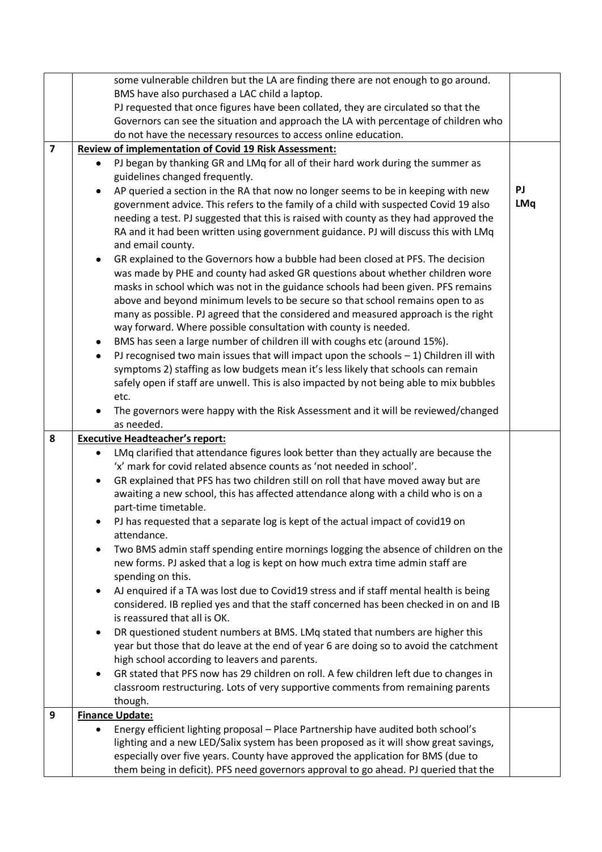|   | some vulnerable children but the LA are finding there are not enough to go around.                                                                                       |            |  |
|---|--------------------------------------------------------------------------------------------------------------------------------------------------------------------------|------------|--|
|   | BMS have also purchased a LAC child a laptop.                                                                                                                            |            |  |
|   | PJ requested that once figures have been collated, they are circulated so that the                                                                                       |            |  |
|   | Governors can see the situation and approach the LA with percentage of children who                                                                                      |            |  |
|   | do not have the necessary resources to access online education.                                                                                                          |            |  |
|   | $\overline{7}$<br><b>Review of implementation of Covid 19 Risk Assessment:</b>                                                                                           |            |  |
|   | PJ began by thanking GR and LMq for all of their hard work during the summer as                                                                                          |            |  |
|   | guidelines changed frequently.                                                                                                                                           |            |  |
|   | AP queried a section in the RA that now no longer seems to be in keeping with new<br>٠                                                                                   | PJ         |  |
|   | government advice. This refers to the family of a child with suspected Covid 19 also                                                                                     | <b>LMq</b> |  |
|   | needing a test. PJ suggested that this is raised with county as they had approved the                                                                                    |            |  |
|   | RA and it had been written using government guidance. PJ will discuss this with LMq                                                                                      |            |  |
|   | and email county.                                                                                                                                                        |            |  |
|   | GR explained to the Governors how a bubble had been closed at PFS. The decision<br>$\bullet$                                                                             |            |  |
|   | was made by PHE and county had asked GR questions about whether children wore                                                                                            |            |  |
|   | masks in school which was not in the guidance schools had been given. PFS remains                                                                                        |            |  |
|   | above and beyond minimum levels to be secure so that school remains open to as<br>many as possible. PJ agreed that the considered and measured approach is the right     |            |  |
|   | way forward. Where possible consultation with county is needed.                                                                                                          |            |  |
|   | BMS has seen a large number of children ill with coughs etc (around 15%).                                                                                                |            |  |
|   | PJ recognised two main issues that will impact upon the schools $-1$ ) Children ill with                                                                                 |            |  |
|   | symptoms 2) staffing as low budgets mean it's less likely that schools can remain                                                                                        |            |  |
|   | safely open if staff are unwell. This is also impacted by not being able to mix bubbles                                                                                  |            |  |
|   | etc.                                                                                                                                                                     |            |  |
|   | The governors were happy with the Risk Assessment and it will be reviewed/changed                                                                                        |            |  |
|   | as needed.                                                                                                                                                               |            |  |
| 8 | <b>Executive Headteacher's report:</b>                                                                                                                                   |            |  |
|   | LMq clarified that attendance figures look better than they actually are because the<br>$\bullet$                                                                        |            |  |
|   | 'x' mark for covid related absence counts as 'not needed in school'.                                                                                                     |            |  |
|   | GR explained that PFS has two children still on roll that have moved away but are<br>$\bullet$                                                                           |            |  |
|   | awaiting a new school, this has affected attendance along with a child who is on a                                                                                       |            |  |
|   | part-time timetable.                                                                                                                                                     |            |  |
|   |                                                                                                                                                                          |            |  |
|   | PJ has requested that a separate log is kept of the actual impact of covid19 on                                                                                          |            |  |
|   | attendance.                                                                                                                                                              |            |  |
|   | Two BMS admin staff spending entire mornings logging the absence of children on the<br>$\bullet$                                                                         |            |  |
|   | new forms. PJ asked that a log is kept on how much extra time admin staff are                                                                                            |            |  |
|   | spending on this.                                                                                                                                                        |            |  |
|   | AJ enquired if a TA was lost due to Covid19 stress and if staff mental health is being                                                                                   |            |  |
|   | considered. IB replied yes and that the staff concerned has been checked in on and IB                                                                                    |            |  |
|   | is reassured that all is OK.                                                                                                                                             |            |  |
|   | DR questioned student numbers at BMS. LMq stated that numbers are higher this                                                                                            |            |  |
|   | year but those that do leave at the end of year 6 are doing so to avoid the catchment                                                                                    |            |  |
|   | high school according to leavers and parents.                                                                                                                            |            |  |
|   | GR stated that PFS now has 29 children on roll. A few children left due to changes in                                                                                    |            |  |
|   | classroom restructuring. Lots of very supportive comments from remaining parents                                                                                         |            |  |
|   | though.                                                                                                                                                                  |            |  |
| 9 | <b>Finance Update:</b>                                                                                                                                                   |            |  |
|   | Energy efficient lighting proposal - Place Partnership have audited both school's                                                                                        |            |  |
|   | lighting and a new LED/Salix system has been proposed as it will show great savings,<br>especially over five years. County have approved the application for BMS (due to |            |  |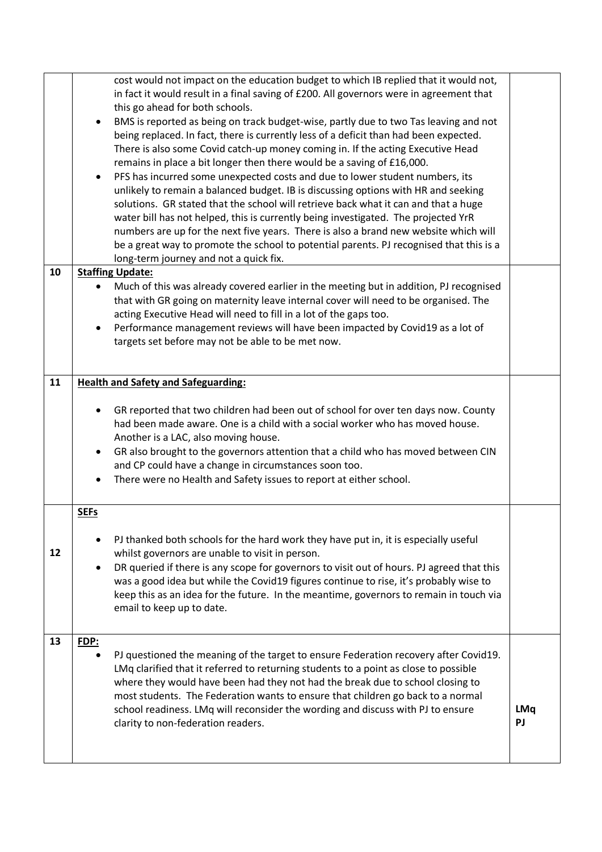|    | cost would not impact on the education budget to which IB replied that it would not,<br>in fact it would result in a final saving of £200. All governors were in agreement that<br>this go ahead for both schools.<br>BMS is reported as being on track budget-wise, partly due to two Tas leaving and not<br>being replaced. In fact, there is currently less of a deficit than had been expected.<br>There is also some Covid catch-up money coming in. If the acting Executive Head<br>remains in place a bit longer then there would be a saving of £16,000.<br>PFS has incurred some unexpected costs and due to lower student numbers, its<br>unlikely to remain a balanced budget. IB is discussing options with HR and seeking<br>solutions. GR stated that the school will retrieve back what it can and that a huge<br>water bill has not helped, this is currently being investigated. The projected YrR<br>numbers are up for the next five years. There is also a brand new website which will<br>be a great way to promote the school to potential parents. PJ recognised that this is a<br>long-term journey and not a quick fix. |                         |
|----|--------------------------------------------------------------------------------------------------------------------------------------------------------------------------------------------------------------------------------------------------------------------------------------------------------------------------------------------------------------------------------------------------------------------------------------------------------------------------------------------------------------------------------------------------------------------------------------------------------------------------------------------------------------------------------------------------------------------------------------------------------------------------------------------------------------------------------------------------------------------------------------------------------------------------------------------------------------------------------------------------------------------------------------------------------------------------------------------------------------------------------------------------|-------------------------|
| 10 | <b>Staffing Update:</b>                                                                                                                                                                                                                                                                                                                                                                                                                                                                                                                                                                                                                                                                                                                                                                                                                                                                                                                                                                                                                                                                                                                          |                         |
|    | Much of this was already covered earlier in the meeting but in addition, PJ recognised<br>$\bullet$<br>that with GR going on maternity leave internal cover will need to be organised. The<br>acting Executive Head will need to fill in a lot of the gaps too.<br>Performance management reviews will have been impacted by Covid19 as a lot of<br>targets set before may not be able to be met now.                                                                                                                                                                                                                                                                                                                                                                                                                                                                                                                                                                                                                                                                                                                                            |                         |
| 11 | <b>Health and Safety and Safeguarding:</b>                                                                                                                                                                                                                                                                                                                                                                                                                                                                                                                                                                                                                                                                                                                                                                                                                                                                                                                                                                                                                                                                                                       |                         |
|    | GR reported that two children had been out of school for over ten days now. County<br>had been made aware. One is a child with a social worker who has moved house.<br>Another is a LAC, also moving house.<br>GR also brought to the governors attention that a child who has moved between CIN<br>$\bullet$<br>and CP could have a change in circumstances soon too.<br>There were no Health and Safety issues to report at either school.                                                                                                                                                                                                                                                                                                                                                                                                                                                                                                                                                                                                                                                                                                     |                         |
|    | <b>SEFs</b>                                                                                                                                                                                                                                                                                                                                                                                                                                                                                                                                                                                                                                                                                                                                                                                                                                                                                                                                                                                                                                                                                                                                      |                         |
| 12 | PJ thanked both schools for the hard work they have put in, it is especially useful<br>whilst governors are unable to visit in person.<br>DR queried if there is any scope for governors to visit out of hours. PJ agreed that this<br>was a good idea but while the Covid19 figures continue to rise, it's probably wise to<br>keep this as an idea for the future. In the meantime, governors to remain in touch via<br>email to keep up to date.                                                                                                                                                                                                                                                                                                                                                                                                                                                                                                                                                                                                                                                                                              |                         |
| 13 | FDP:                                                                                                                                                                                                                                                                                                                                                                                                                                                                                                                                                                                                                                                                                                                                                                                                                                                                                                                                                                                                                                                                                                                                             |                         |
|    | PJ questioned the meaning of the target to ensure Federation recovery after Covid19.<br>LMq clarified that it referred to returning students to a point as close to possible<br>where they would have been had they not had the break due to school closing to<br>most students. The Federation wants to ensure that children go back to a normal<br>school readiness. LMq will reconsider the wording and discuss with PJ to ensure<br>clarity to non-federation readers.                                                                                                                                                                                                                                                                                                                                                                                                                                                                                                                                                                                                                                                                       | <b>LMq</b><br><b>PJ</b> |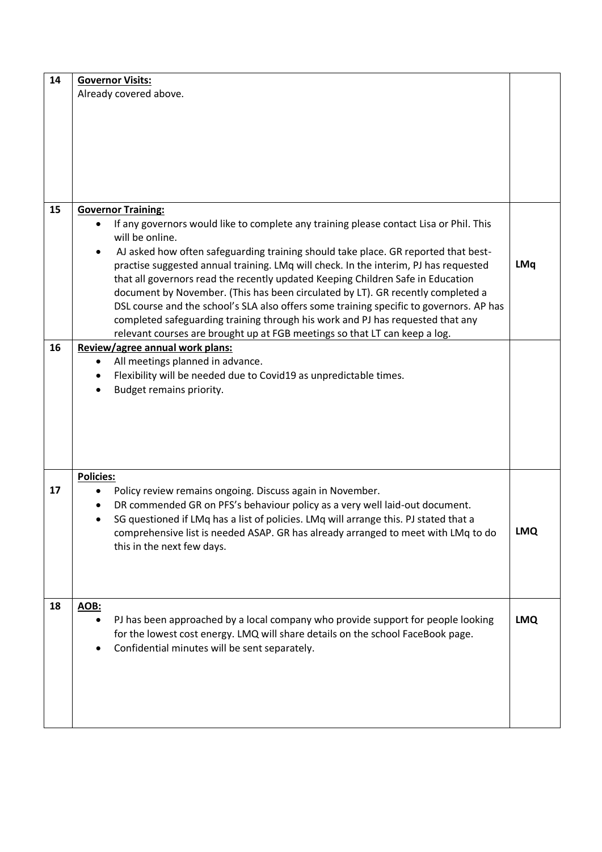| 14 | <b>Governor Visits:</b>                                                                 |            |
|----|-----------------------------------------------------------------------------------------|------------|
|    | Already covered above.                                                                  |            |
|    |                                                                                         |            |
|    |                                                                                         |            |
|    |                                                                                         |            |
|    |                                                                                         |            |
|    |                                                                                         |            |
|    |                                                                                         |            |
|    |                                                                                         |            |
|    |                                                                                         |            |
|    |                                                                                         |            |
| 15 | <b>Governor Training:</b>                                                               |            |
|    | If any governors would like to complete any training please contact Lisa or Phil. This  |            |
|    | will be online.                                                                         |            |
|    | AJ asked how often safeguarding training should take place. GR reported that best-      |            |
|    | practise suggested annual training. LMq will check. In the interim, PJ has requested    | <b>LMq</b> |
|    | that all governors read the recently updated Keeping Children Safe in Education         |            |
|    | document by November. (This has been circulated by LT). GR recently completed a         |            |
|    | DSL course and the school's SLA also offers some training specific to governors. AP has |            |
|    |                                                                                         |            |
|    | completed safeguarding training through his work and PJ has requested that any          |            |
|    | relevant courses are brought up at FGB meetings so that LT can keep a log.              |            |
| 16 | Review/agree annual work plans:                                                         |            |
|    | All meetings planned in advance.                                                        |            |
|    | Flexibility will be needed due to Covid19 as unpredictable times.                       |            |
|    | Budget remains priority.<br>$\bullet$                                                   |            |
|    |                                                                                         |            |
|    |                                                                                         |            |
|    |                                                                                         |            |
|    |                                                                                         |            |
|    |                                                                                         |            |
|    |                                                                                         |            |
|    | <b>Policies:</b>                                                                        |            |
| 17 | Policy review remains ongoing. Discuss again in November.                               |            |
|    | DR commended GR on PFS's behaviour policy as a very well laid-out document.             |            |
|    | SG questioned if LMq has a list of policies. LMq will arrange this. PJ stated that a    |            |
|    | comprehensive list is needed ASAP. GR has already arranged to meet with LMq to do       | <b>LMQ</b> |
|    | this in the next few days.                                                              |            |
|    |                                                                                         |            |
|    |                                                                                         |            |
|    |                                                                                         |            |
|    |                                                                                         |            |
| 18 | AOB:                                                                                    |            |
|    | PJ has been approached by a local company who provide support for people looking        | <b>LMQ</b> |
|    |                                                                                         |            |
|    | for the lowest cost energy. LMQ will share details on the school FaceBook page.         |            |
|    | Confidential minutes will be sent separately.                                           |            |
|    |                                                                                         |            |
|    |                                                                                         |            |
|    |                                                                                         |            |
|    |                                                                                         |            |
|    |                                                                                         |            |
|    |                                                                                         |            |